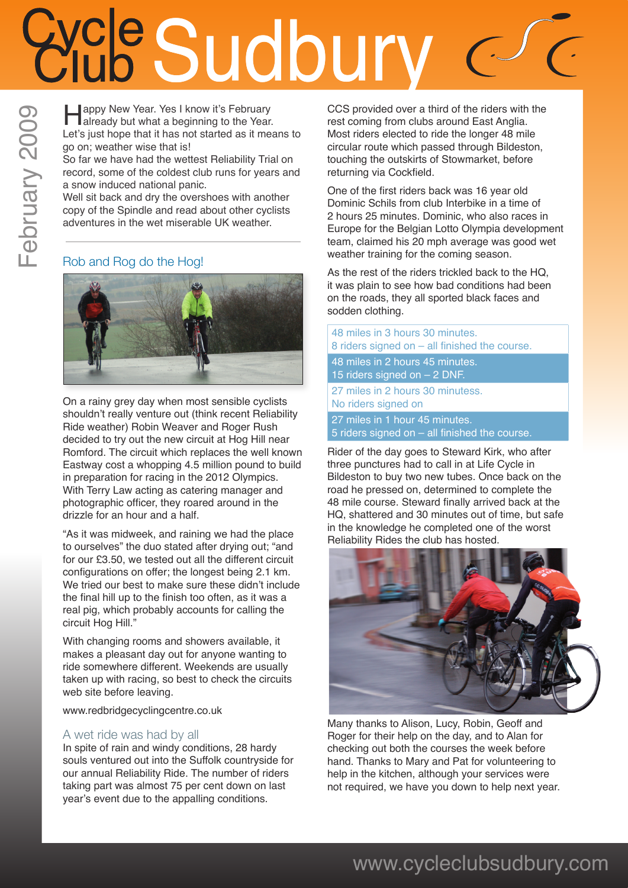# **ICC Sudbury New Year. Yes I know it's February**

**Example 1** appy New Year. Yes I know it's February<br>already but what a beginning to the Year. Let's just hope that it has not started as it means to go on; weather wise that is!

So far we have had the wettest Reliability Trial on record, some of the coldest club runs for years and a snow induced national panic.

Well sit back and dry the overshoes with another copy of the Spindle and read about other cyclists adventures in the wet miserable UK weather.

### Rob and Rog do the Hog!



On a rainy grey day when most sensible cyclists shouldn't really venture out (think recent Reliability Ride weather) Robin Weaver and Roger Rush decided to try out the new circuit at Hog Hill near Romford. The circuit which replaces the well known Eastway cost a whopping 4.5 million pound to build in preparation for racing in the 2012 Olympics. With Terry Law acting as catering manager and photographic officer, they roared around in the drizzle for an hour and a half.

"As it was midweek, and raining we had the place to ourselves" the duo stated after drying out; "and for our £3.50, we tested out all the different circuit configurations on offer; the longest being 2.1 km. We tried our best to make sure these didn't include the final hill up to the finish too often, as it was a real pig, which probably accounts for calling the circuit Hog Hill."

With changing rooms and showers available, it makes a pleasant day out for anyone wanting to ride somewhere different. Weekends are usually taken up with racing, so best to check the circuits web site before leaving.

www.redbridgecyclingcentre.co.uk

### A wet ride was had by all

In spite of rain and windy conditions, 28 hardy souls ventured out into the Suffolk countryside for our annual Reliability Ride. The number of riders taking part was almost 75 per cent down on last year's event due to the appalling conditions.

CCS provided over a third of the riders with the rest coming from clubs around East Anglia. Most riders elected to ride the longer 48 mile circular route which passed through Bildeston, touching the outskirts of Stowmarket, before returning via Cockfield.

One of the first riders back was 16 year old Dominic Schils from club Interbike in a time of 2 hours 25 minutes. Dominic, who also races in Europe for the Belgian Lotto Olympia development team, claimed his 20 mph average was good wet weather training for the coming season.

As the rest of the riders trickled back to the HQ, it was plain to see how bad conditions had been on the roads, they all sported black faces and sodden clothing.

48 miles in 3 hours 30 minutes. 8 riders signed on – all finished the course. 48 miles in 2 hours 45 minutes. 15 riders signed on – 2 DNF. 27 miles in 2 hours 30 minutess. No riders signed on 27 miles in 1 hour 45 minutes. 5 riders signed on – all finished the course.

Rider of the day goes to Steward Kirk, who after three punctures had to call in at Life Cycle in Bildeston to buy two new tubes. Once back on the road he pressed on, determined to complete the 48 mile course. Steward finally arrived back at the HQ, shattered and 30 minutes out of time, but safe in the knowledge he completed one of the worst Reliability Rides the club has hosted.



Many thanks to Alison, Lucy, Robin, Geoff and Roger for their help on the day, and to Alan for checking out both the courses the week before hand. Thanks to Mary and Pat for volunteering to help in the kitchen, although your services were not required, we have you down to help next year.

### www.cycleclubsudbury.com